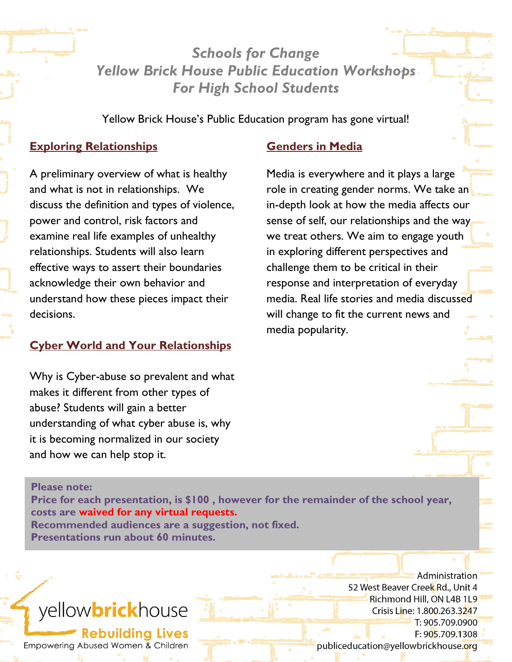*Schools for Change Yellow Brick House Public Education Workshops For High School Students*

Yellow Brick House's Public Education program has gone virtual!

# **Exploring Relationships**

A preliminary overview of what is healthy and what is not in relationships. We discuss the definition and types of violence, power and control, risk factors and examine real life examples of unhealthy relationships. Students will also learn effective ways to assert their boundaries acknowledge their own behavior and understand how these pieces impact their decisions.

# **Cyber World and Your Relationships**

Why is Cyber-abuse so prevalent and what makes it different from other types of abuse? Students will gain a better understanding of what cyber abuse is, why it is becoming normalized in our society and how we can help stop it.

### **Genders in Media**

Media is everywhere and it plays a large role in creating gender norms. We take an in-depth look at how the media affects our sense of self, our relationships and the way we treat others. We aim to engage youth in exploring different perspectives and challenge them to be critical in their response and interpretation of everyday media. Real life stories and media discussed will change to fit the current news and media popularity.

Why is considered abuse so prevalent and what is considered and what is considered and what is a set of the set

 $\frac{d}{dt} = \frac{d}{dt} \int_{-\infty}^{\infty} \frac{d\theta}{dt} dt$ 

#### **Please note:**

**Price for each presentation, is \$100 , however for the remainder of the school year, costs are waived for any virtual requests. Recommended audiences are a suggestion, not fixed. Presentations run about 60 minutes.**

# yellowbrickhouse

**Rebuilding Lives** Empowering Abused Women & Children

Administration 52 West Beaver Creek Rd., Unit 4 Richmond Hill, ON L4B 1L9 Crisis Line: 1.800.263.3247 T: 905.709.0900 F: 905.709.1308 publiceducation@yellowbrickhouse.org